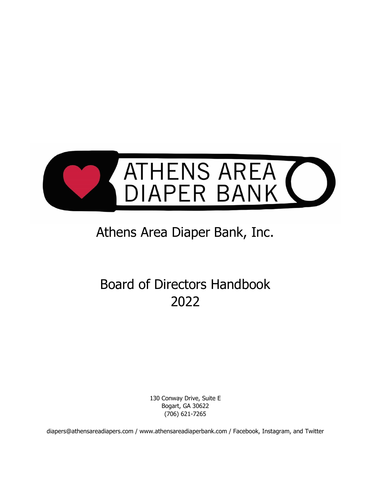

# Athens Area Diaper Bank, Inc.

# Board of Directors Handbook 2022

130 Conway Drive, Suite E Bogart, GA 30622 (706) 621-7265

diapers@athensareadiapers.com / www.athensareadiaperbank.com / Facebook, Instagram, and Twitter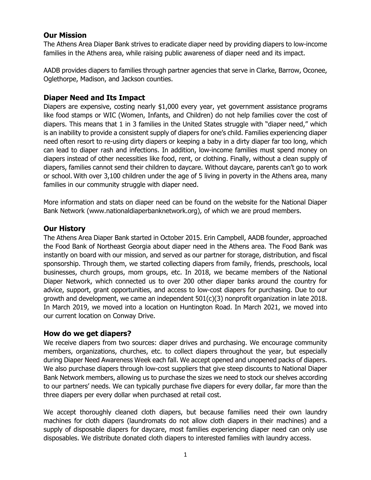## **Our Mission**

The Athens Area Diaper Bank strives to eradicate diaper need by providing diapers to low-income families in the Athens area, while raising public awareness of diaper need and its impact.

AADB provides diapers to families through partner agencies that serve in Clarke, Barrow, Oconee, Oglethorpe, Madison, and Jackson counties.

## **Diaper Need and Its Impact**

Diapers are expensive, costing nearly \$1,000 every year, yet government assistance programs like food stamps or WIC (Women, Infants, and Children) do not help families cover the cost of diapers. This means that 1 in 3 families in the United States struggle with "diaper need," which is an inability to provide a consistent supply of diapers for one's child. Families experiencing diaper need often resort to re-using dirty diapers or keeping a baby in a dirty diaper far too long, which can lead to diaper rash and infections. In addition, low-income families must spend money on diapers instead of other necessities like food, rent, or clothing. Finally, without a clean supply of diapers, families cannot send their children to daycare. Without daycare, parents can't go to work or school. With over 3,100 children under the age of 5 living in poverty in the Athens area, many families in our community struggle with diaper need.

More information and stats on diaper need can be found on the website for the National Diaper Bank Network (www.nationaldiaperbanknetwork.org), of which we are proud members.

## **Our History**

The Athens Area Diaper Bank started in October 2015. Erin Campbell, AADB founder, approached the Food Bank of Northeast Georgia about diaper need in the Athens area. The Food Bank was instantly on board with our mission, and served as our partner for storage, distribution, and fiscal sponsorship. Through them, we started collecting diapers from family, friends, preschools, local businesses, church groups, mom groups, etc. In 2018, we became members of the National Diaper Network, which connected us to over 200 other diaper banks around the country for advice, support, grant opportunities, and access to low-cost diapers for purchasing. Due to our growth and development, we came an independent 501(c)(3) nonprofit organization in late 2018. In March 2019, we moved into a location on Huntington Road. In March 2021, we moved into our current location on Conway Drive.

## **How do we get diapers?**

We receive diapers from two sources: diaper drives and purchasing. We encourage community members, organizations, churches, etc. to collect diapers throughout the year, but especially during Diaper Need Awareness Week each fall. We accept opened and unopened packs of diapers. We also purchase diapers through low-cost suppliers that give steep discounts to National Diaper Bank Network members, allowing us to purchase the sizes we need to stock our shelves according to our partners' needs. We can typically purchase five diapers for every dollar, far more than the three diapers per every dollar when purchased at retail cost.

We accept thoroughly cleaned cloth diapers, but because families need their own laundry machines for cloth diapers (laundromats do not allow cloth diapers in their machines) and a supply of disposable diapers for daycare, most families experiencing diaper need can only use disposables. We distribute donated cloth diapers to interested families with laundry access.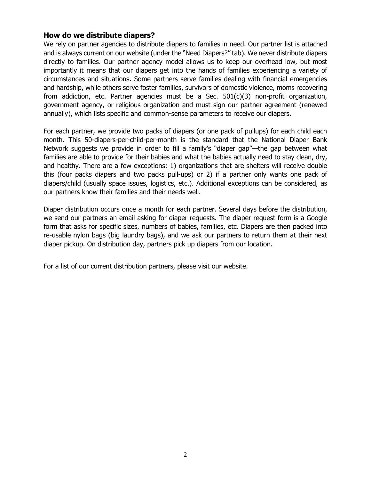## **How do we distribute diapers?**

We rely on partner agencies to distribute diapers to families in need. Our partner list is attached and is always current on our website (under the "Need Diapers?" tab). We never distribute diapers directly to families. Our partner agency model allows us to keep our overhead low, but most importantly it means that our diapers get into the hands of families experiencing a variety of circumstances and situations. Some partners serve families dealing with financial emergencies and hardship, while others serve foster families, survivors of domestic violence, moms recovering from addiction, etc. Partner agencies must be a Sec.  $501(c)(3)$  non-profit organization, government agency, or religious organization and must sign our partner agreement (renewed annually), which lists specific and common-sense parameters to receive our diapers.

For each partner, we provide two packs of diapers (or one pack of pullups) for each child each month. This 50-diapers-per-child-per-month is the standard that the National Diaper Bank Network suggests we provide in order to fill a family's "diaper gap"—the gap between what families are able to provide for their babies and what the babies actually need to stay clean, dry, and healthy. There are a few exceptions: 1) organizations that are shelters will receive double this (four packs diapers and two packs pull-ups) or 2) if a partner only wants one pack of diapers/child (usually space issues, logistics, etc.). Additional exceptions can be considered, as our partners know their families and their needs well.

Diaper distribution occurs once a month for each partner. Several days before the distribution, we send our partners an email asking for diaper requests. The diaper request form is a Google form that asks for specific sizes, numbers of babies, families, etc. Diapers are then packed into re-usable nylon bags (big laundry bags), and we ask our partners to return them at their next diaper pickup. On distribution day, partners pick up diapers from our location.

For a list of our current distribution partners, please visit our website.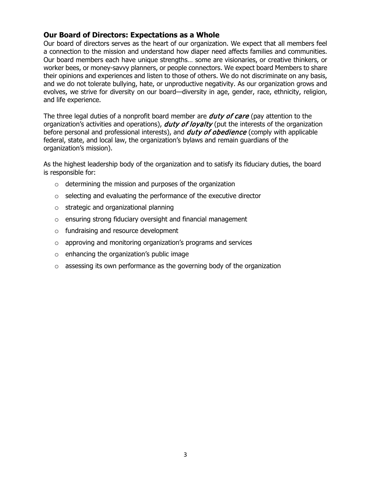## **Our Board of Directors: Expectations as a Whole**

Our board of directors serves as the heart of our organization. We expect that all members feel a connection to the mission and understand how diaper need affects families and communities. Our board members each have unique strengths… some are visionaries, or creative thinkers, or worker bees, or money-savvy planners, or people connectors. We expect board Members to share their opinions and experiences and listen to those of others. We do not discriminate on any basis, and we do not tolerate bullying, hate, or unproductive negativity. As our organization grows and evolves, we strive for diversity on our board—diversity in age, gender, race, ethnicity, religion, and life experience.

The three legal duties of a nonprofit board member are **duty of care** (pay attention to the organization's activities and operations), *duty of loyalty* (put the interests of the organization before personal and professional interests), and *duty of obedience* (comply with applicable federal, state, and local law, the organization's bylaws and remain guardians of the organization's mission).

As the highest leadership body of the organization and to satisfy its fiduciary duties, the board is responsible for:

- $\circ$  determining the mission and purposes of the organization
- o selecting and evaluating the performance of the executive director
- o strategic and organizational planning
- o ensuring strong fiduciary oversight and financial management
- o fundraising and resource development
- o approving and monitoring organization's programs and services
- $\circ$  enhancing the organization's public image
- o assessing its own performance as the governing body of the organization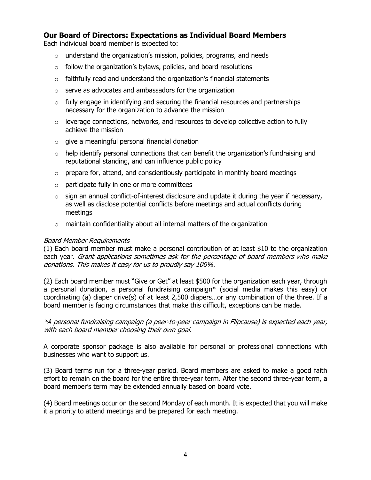## **Our Board of Directors: Expectations as Individual Board Members**

Each individual board member is expected to:

- $\circ$  understand the organization's mission, policies, programs, and needs
- $\circ$  follow the organization's bylaws, policies, and board resolutions
- $\circ$  faithfully read and understand the organization's financial statements
- o serve as advocates and ambassadors for the organization
- $\circ$  fully engage in identifying and securing the financial resources and partnerships necessary for the organization to advance the mission
- $\circ$  leverage connections, networks, and resources to develop collective action to fully achieve the mission
- o give a meaningful personal financial donation
- $\circ$  help identify personal connections that can benefit the organization's fundraising and reputational standing, and can influence public policy
- $\circ$  prepare for, attend, and conscientiously participate in monthly board meetings
- o participate fully in one or more committees
- $\circ$  sign an annual conflict-of-interest disclosure and update it during the year if necessary, as well as disclose potential conflicts before meetings and actual conflicts during meetings
- $\circ$  maintain confidentiality about all internal matters of the organization

#### Board Member Requirements

(1) Each board member must make a personal contribution of at least \$10 to the organization each year. Grant applications sometimes ask for the percentage of board members who make donations. This makes it easy for us to proudly say 100%.

(2) Each board member must "Give or Get" at least \$500 for the organization each year, through a personal donation, a personal fundraising campaign\* (social media makes this easy) or coordinating (a) diaper drive(s) of at least 2,500 diapers…or any combination of the three. If a board member is facing circumstances that make this difficult, exceptions can be made.

\*A personal fundraising campaign (a peer-to-peer campaign in Flipcause) is expected each year, with each board member choosing their own goal.

A corporate sponsor package is also available for personal or professional connections with businesses who want to support us.

(3) Board terms run for a three-year period. Board members are asked to make a good faith effort to remain on the board for the entire three-year term. After the second three-year term, a board member's term may be extended annually based on board vote.

(4) Board meetings occur on the second Monday of each month. It is expected that you will make it a priority to attend meetings and be prepared for each meeting.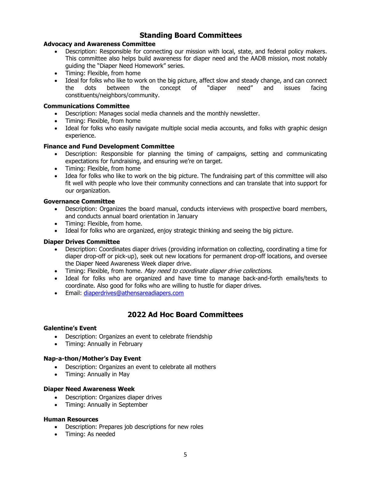# **Standing Board Committees**

#### **Advocacy and Awareness Committee**

- Description: Responsible for connecting our mission with local, state, and federal policy makers. This committee also helps build awareness for diaper need and the AADB mission, most notably guiding the "Diaper Need Homework" series.
- Timing: Flexible, from home
- Ideal for folks who like to work on the big picture, affect slow and steady change, and can connect<br>the dots between the concept of "diaper need" and issues facing the dots between the concept of "diaper need" and issues facing constituents/neighbors/community.

#### **Communications Committee**

- Description: Manages social media channels and the monthly newsletter.
- Timing: Flexible, from home
- Ideal for folks who easily navigate multiple social media accounts, and folks with graphic design experience.

#### **Finance and Fund Development Committee**

- Description: Responsible for planning the timing of campaigns, setting and communicating expectations for fundraising, and ensuring we're on target.
- Timing: Flexible, from home
- Idea for folks who like to work on the big picture. The fundraising part of this committee will also fit well with people who love their community connections and can translate that into support for our organization.

#### **Governance Committee**

- Description: Organizes the board manual, conducts interviews with prospective board members, and conducts annual board orientation in January
- Timing: Flexible, from home.
- Ideal for folks who are organized, enjoy strategic thinking and seeing the big picture.

#### **Diaper Drives Committee**

- Description: Coordinates diaper drives (providing information on collecting, coordinating a time for diaper drop-off or pick-up), seek out new locations for permanent drop-off locations, and oversee the Diaper Need Awareness Week diaper drive.
- Timing: Flexible, from home. May need to coordinate diaper drive collections.
- Ideal for folks who are organized and have time to manage back-and-forth emails/texts to coordinate. Also good for folks who are willing to hustle for diaper drives.
- Email: [diaperdrives@athensareadiapers.com](mailto:diaperdrives@athensareadiapers.com)

# **2022 Ad Hoc Board Committees**

#### **Galentine's Event**

- Description: Organizes an event to celebrate friendship
- Timing: Annually in February

#### **Nap-a-thon/Mother's Day Event**

- Description: Organizes an event to celebrate all mothers
- Timing: Annually in May

#### **Diaper Need Awareness Week**

- Description: Organizes diaper drives
- Timing: Annually in September

#### **Human Resources**

- Description: Prepares job descriptions for new roles
- Timing: As needed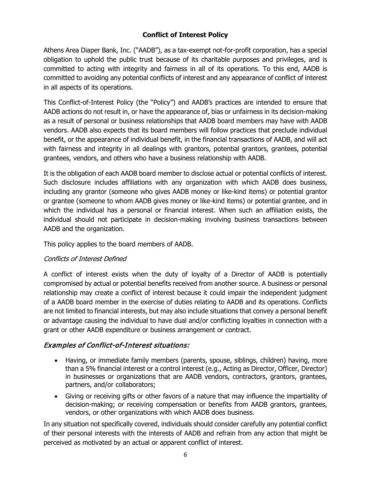# **Conflict of Interest Policy**

Athens Area Diaper Bank, Inc. ("AADB"), as a tax-exempt not-for-profit corporation, has a special obligation to uphold the public trust because of its charitable purposes and privileges, and is committed to acting with integrity and fairness in all of its operations. To this end, AADB is committed to avoiding any potential conflicts of interest and any appearance of conflict of interest in all aspects of its operations.

This Conflict-of-Interest Policy (the "Policy") and AADB's practices are intended to ensure that AADB actions do not result in, or have the appearance of, bias or unfairness in its decision-making as a result of personal or business relationships that AADB board members may have with AADB vendors. AADB also expects that its board members will follow practices that preclude individual benefit, or the appearance of individual benefit, in the financial transactions of AADB, and will act with fairness and integrity in all dealings with grantors, potential grantors, grantees, potential grantees, vendors, and others who have a business relationship with AADB.

It is the obligation of each AADB board member to disclose actual or potential conflicts of interest. Such disclosure includes affiliations with any organization with which AADB does business, including any grantor (someone who gives AADB money or like-kind items) or potential grantor or grantee (someone to whom AADB gives money or like-kind items) or potential grantee, and in which the individual has a personal or financial interest. When such an affiliation exists, the individual should not participate in decision-making involving business transactions between AADB and the organization.

This policy applies to the board members of AADB.

# Conflicts of Interest Defined

A conflict of interest exists when the duty of loyalty of a Director of AADB is potentially compromised by actual or potential benefits received from another source. A business or personal relationship may create a conflict of interest because it could impair the independent judgment of a AADB board member in the exercise of duties relating to AADB and its operations. Conflicts are not limited to financial interests, but may also include situations that convey a personal benefit or advantage causing the individual to have dual and/or conflicting loyalties in connection with a grant or other AADB expenditure or business arrangement or contract.

# Examples of Conflict-of-Interest situations:

- Having, or immediate family members (parents, spouse, siblings, children) having, more than a 5% financial interest or a control interest (e.g., Acting as Director, Officer, Director) in businesses or organizations that are AADB vendors, contractors, grantors, grantees, partners, and/or collaborators;
- Giving or receiving gifts or other favors of a nature that may influence the impartiality of decision-making; or receiving compensation or benefits from AADB grantors, grantees, vendors, or other organizations with which AADB does business.

In any situation not specifically covered, individuals should consider carefully any potential conflict of their personal interests with the interests of AADB and refrain from any action that might be perceived as motivated by an actual or apparent conflict of interest.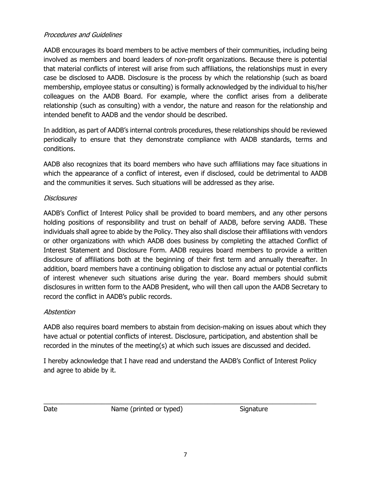## Procedures and Guidelines

AADB encourages its board members to be active members of their communities, including being involved as members and board leaders of non-profit organizations. Because there is potential that material conflicts of interest will arise from such affiliations, the relationships must in every case be disclosed to AADB. Disclosure is the process by which the relationship (such as board membership, employee status or consulting) is formally acknowledged by the individual to his/her colleagues on the AADB Board. For example, where the conflict arises from a deliberate relationship (such as consulting) with a vendor, the nature and reason for the relationship and intended benefit to AADB and the vendor should be described.

In addition, as part of AADB's internal controls procedures, these relationships should be reviewed periodically to ensure that they demonstrate compliance with AADB standards, terms and conditions.

AADB also recognizes that its board members who have such affiliations may face situations in which the appearance of a conflict of interest, even if disclosed, could be detrimental to AADB and the communities it serves. Such situations will be addressed as they arise.

## **Disclosures**

AADB's Conflict of Interest Policy shall be provided to board members, and any other persons holding positions of responsibility and trust on behalf of AADB, before serving AADB. These individuals shall agree to abide by the Policy. They also shall disclose their affiliations with vendors or other organizations with which AADB does business by completing the attached Conflict of Interest Statement and Disclosure Form. AADB requires board members to provide a written disclosure of affiliations both at the beginning of their first term and annually thereafter. In addition, board members have a continuing obligation to disclose any actual or potential conflicts of interest whenever such situations arise during the year. Board members should submit disclosures in written form to the AADB President, who will then call upon the AADB Secretary to record the conflict in AADB's public records.

## Abstention

AADB also requires board members to abstain from decision-making on issues about which they have actual or potential conflicts of interest. Disclosure, participation, and abstention shall be recorded in the minutes of the meeting(s) at which such issues are discussed and decided.

I hereby acknowledge that I have read and understand the AADB's Conflict of Interest Policy and agree to abide by it.

\_\_\_\_\_\_\_\_\_\_\_\_\_\_\_\_\_\_\_\_\_\_\_\_\_\_\_\_\_\_\_\_\_\_\_\_\_\_\_\_\_\_\_\_\_\_\_\_\_\_\_\_\_\_\_\_\_\_\_\_\_\_\_\_\_\_\_\_\_\_\_\_\_\_\_ Date Mame (printed or typed) Signature